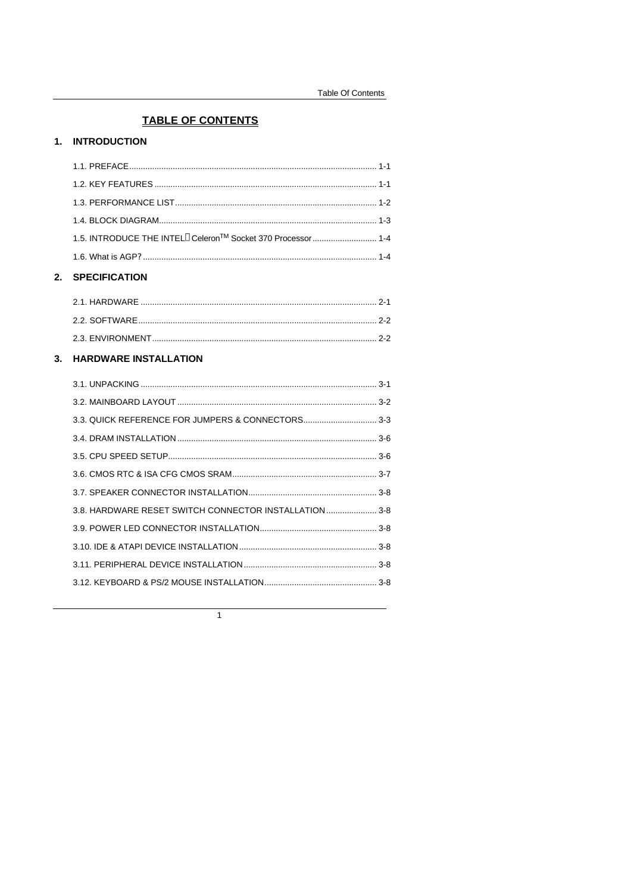## **TABLE OF CONTENTS**

## 1. INTRODUCTION

| 2. | <b>SPECIFICATION</b>                                                                 |  |
|----|--------------------------------------------------------------------------------------|--|
|    |                                                                                      |  |
|    | 1.5. INTRODUCE THE INTEL <sup>®</sup> Celeron <sup>™</sup> Socket 370 Processor  1-4 |  |
|    |                                                                                      |  |
|    |                                                                                      |  |
|    |                                                                                      |  |
|    |                                                                                      |  |

# 

| 2.3. ENVIRONMENT. |
|-------------------|
|                   |

# 3. HARDWARE INSTALLATION

| 3.8. HARDWARE RESET SWITCH CONNECTOR INSTALLATION 3-8 |  |
|-------------------------------------------------------|--|
|                                                       |  |
|                                                       |  |
|                                                       |  |
|                                                       |  |
|                                                       |  |

 $\overline{1}$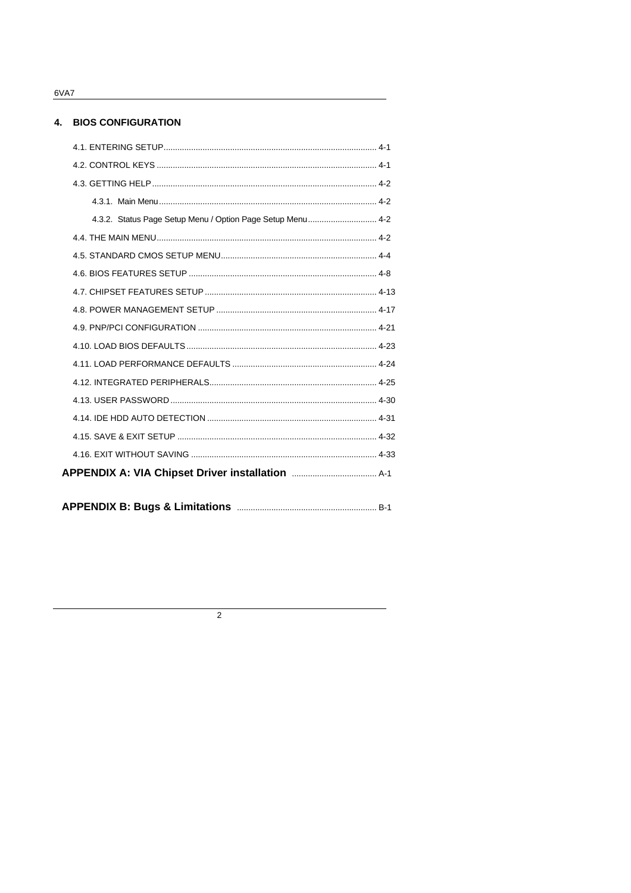6VA7

### 4. BIOS CONFIGURATION

 $\overline{2}$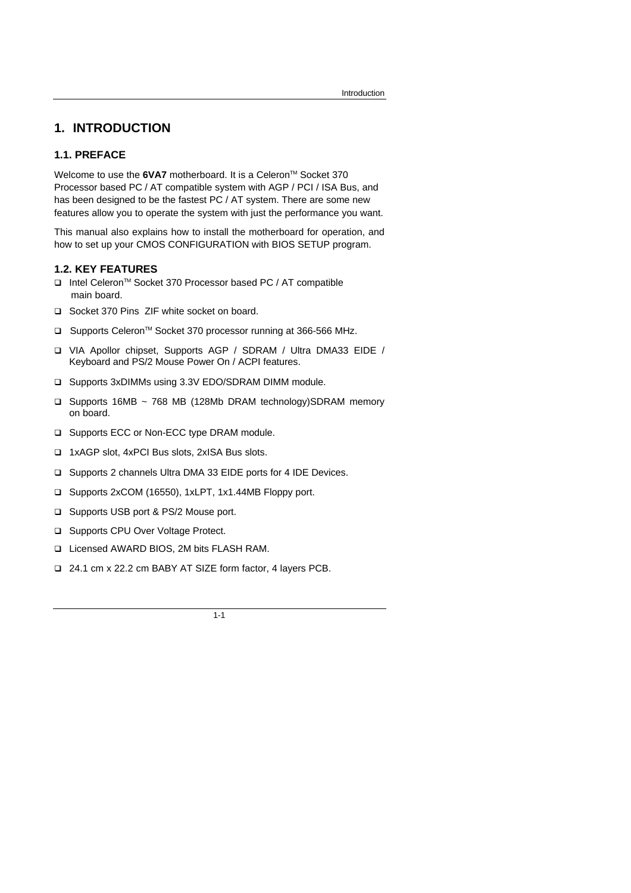# **1. INTRODUCTION**

### **1.1. PREFACE**

Welcome to use the 6VA7 motherboard. It is a Celeron<sup>™</sup> Socket 370 Processor based PC / AT compatible system with AGP / PCI / ISA Bus, and has been designed to be the fastest PC / AT system. There are some new features allow you to operate the system with just the performance you want.

This manual also explains how to install the motherboard for operation, and how to set up your CMOS CONFIGURATION with BIOS SETUP program.

#### **1.2. KEY FEATURES**

- q Intel CeleronTM Socket 370 Processor based PC / AT compatible main board.
- q Socket 370 Pins ZIF white socket on board.
- □ Supports Celeron<sup>™</sup> Socket 370 processor running at 366-566 MHz.
- q VIA Apollor chipset, Supports AGP / SDRAM / Ultra DMA33 EIDE / Keyboard and PS/2 Mouse Power On / ACPI features.
- q Supports 3xDIMMs using 3.3V EDO/SDRAM DIMM module.
- q Supports 16MB ~ 768 MB (128Mb DRAM technology)SDRAM memory on board.
- □ Supports ECC or Non-ECC type DRAM module.
- q 1xAGP slot, 4xPCI Bus slots, 2xISA Bus slots.
- q Supports 2 channels Ultra DMA 33 EIDE ports for 4 IDE Devices.
- q Supports 2xCOM (16550), 1xLPT, 1x1.44MB Floppy port.
- □ Supports USB port & PS/2 Mouse port.
- □ Supports CPU Over Voltage Protect.
- q Licensed AWARD BIOS, 2M bits FLASH RAM.
- q 24.1 cm x 22.2 cm BABY AT SIZE form factor, 4 layers PCB.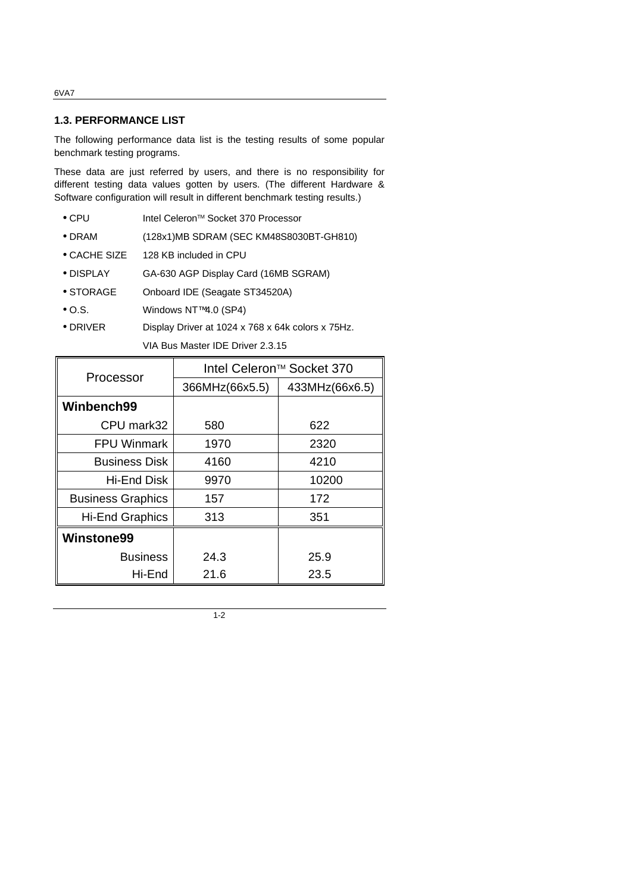#### 6VA7

#### **1.3. PERFORMANCE LIST**

The following performance data list is the testing results of some popular benchmark testing programs.

These data are just referred by users, and there is no responsibility for different testing data values gotten by users. (The different Hardware & Software configuration will result in different benchmark testing results.)

- CPU Intel Celeron<sup>™</sup> Socket 370 Processor
- DRAM (128x1)MB SDRAM (SEC KM48S8030BT-GH810)
- CACHE SIZE 128 KB included in CPU
- DISPLAY GA-630 AGP Display Card (16MB SGRAM)
- STORAGE Onboard IDE (Seagate ST34520A)
- O.S. Windows NT™ 4.0 (SP4)
- DRIVER Display Driver at 1024 x 768 x 64k colors x 75Hz.

VIA Bus Master IDE Driver 2.3.15

| Processor                | Intel Celeron™ Socket 370 |                |  |
|--------------------------|---------------------------|----------------|--|
|                          | 366MHz(66x5.5)            | 433MHz(66x6.5) |  |
| Winbench99               |                           |                |  |
| CPU mark32               | 580                       | 622            |  |
| <b>FPU Winmark</b>       | 1970                      | 2320           |  |
| <b>Business Disk</b>     | 4160                      | 4210           |  |
| Hi-End Disk              | 9970                      | 10200          |  |
| <b>Business Graphics</b> | 157                       | 172            |  |
| <b>Hi-End Graphics</b>   | 313                       | 351            |  |
| <b>Winstone99</b>        |                           |                |  |
| <b>Business</b>          | 24.3                      | 25.9           |  |
| Hi-End                   | 21.6                      | 23.5           |  |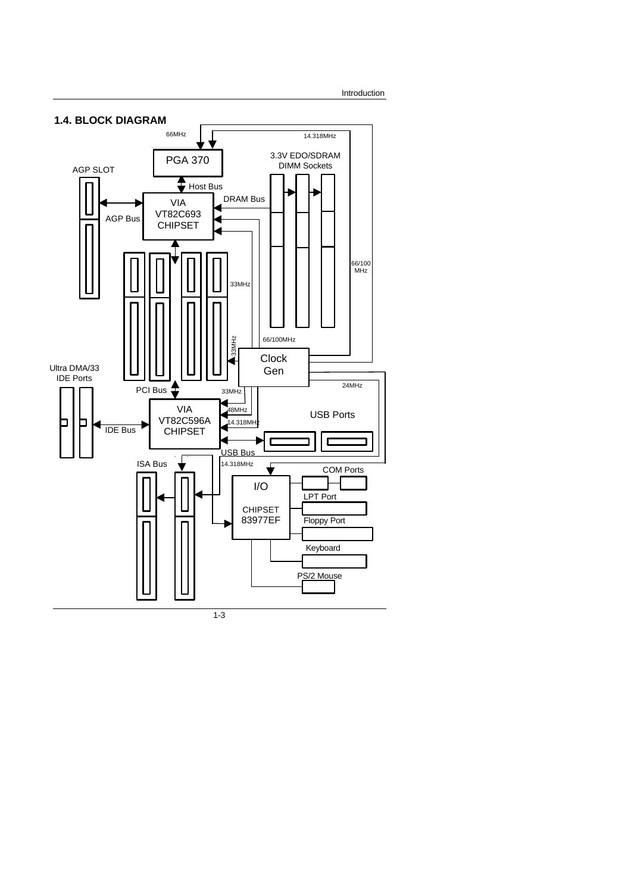Introduction

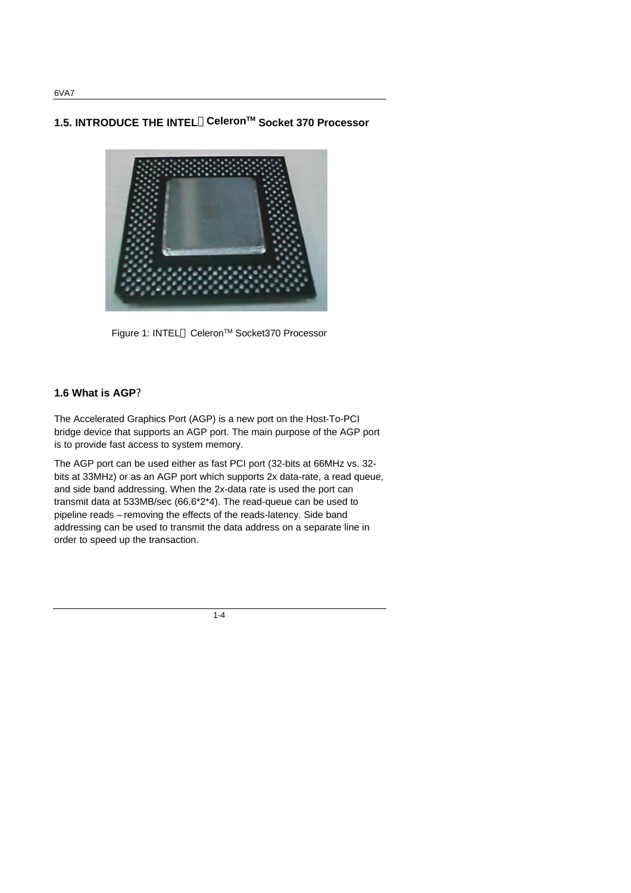**1.5. INTRODUCE THE INTELâCeleronTM Socket 370 Processor**



Figure 1: INTEL<sup>®</sup> Celeron<sup>™</sup> Socket370 Processor

## **1.6 What is AGP?**

The Accelerated Graphics Port (AGP) is a new port on the Host-To-PCI bridge device that supports an AGP port. The main purpose of the AGP port is to provide fast access to system memory.

The AGP port can be used either as fast PCI port (32-bits at 66MHz vs. 32 bits at 33MHz) or as an AGP port which supports 2x data-rate, a read queue, and side band addressing. When the 2x-data rate is used the port can transmit data at 533MB/sec (66.6\*2\*4). The read-queue can be used to pipeline reads – removing the effects of the reads-latency. Side band addressing can be used to transmit the data address on a separate line in order to speed up the transaction.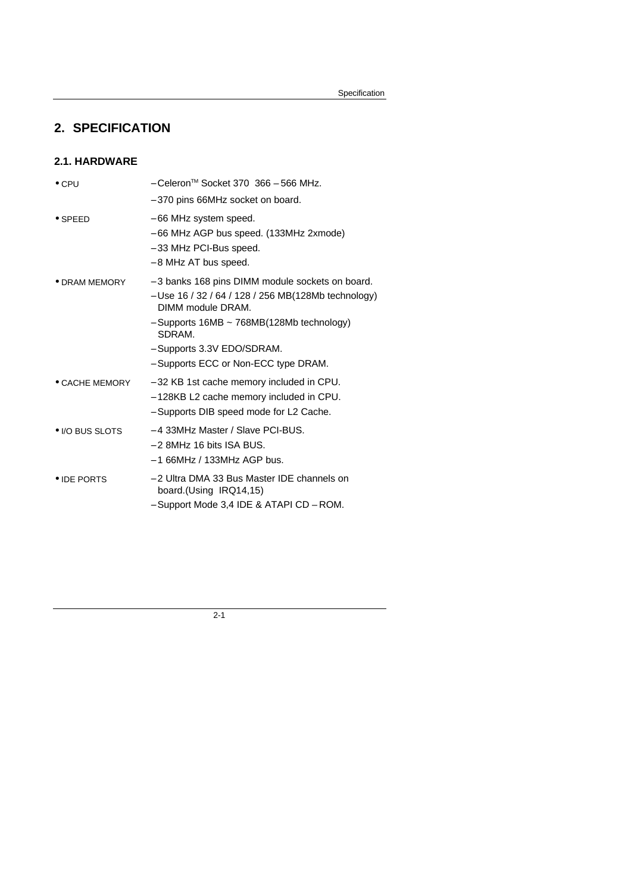# **2. SPECIFICATION**

## **2.1. HARDWARE**

| $\bullet$ CPU          | - Celeron™ Socket 370 366 - 566 MHz.                                                                                                                                                                                                                             |
|------------------------|------------------------------------------------------------------------------------------------------------------------------------------------------------------------------------------------------------------------------------------------------------------|
|                        | - 370 pins 66MHz socket on board.                                                                                                                                                                                                                                |
| $\bullet$ SPEED        | - 66 MHz system speed.<br>- 66 MHz AGP bus speed. (133MHz 2xmode)<br>- 33 MHz PCI-Bus speed.<br>- 8 MHz AT bus speed.                                                                                                                                            |
| • DRAM MEMORY          | - 3 banks 168 pins DIMM module sockets on board.<br>- Use 16 / 32 / 64 / 128 / 256 MB(128Mb technology)<br>DIMM module DRAM.<br>$-$ Supports 16MB $\sim$ 768MB(128Mb technology)<br>SDRAM.<br>- Supports 3.3V EDO/SDRAM.<br>- Supports ECC or Non-ECC type DRAM. |
| $\bullet$ CACHE MEMORY | - 32 KB 1st cache memory included in CPU.<br>- 128KB L2 cache memory included in CPU.<br>- Supports DIB speed mode for L2 Cache.                                                                                                                                 |
| • I/O BUS SLOTS        | -4 33MHz Master / Slave PCI-BUS.<br>$-2$ 8MHz 16 bits ISA BUS.<br>$-166$ MHz / 133MHz AGP bus.                                                                                                                                                                   |
| • IDE PORTS            | - 2 Ultra DMA 33 Bus Master IDE channels on<br>board. (Using IRQ14,15)<br>- Support Mode 3,4 IDE & ATAPI CD - ROM.                                                                                                                                               |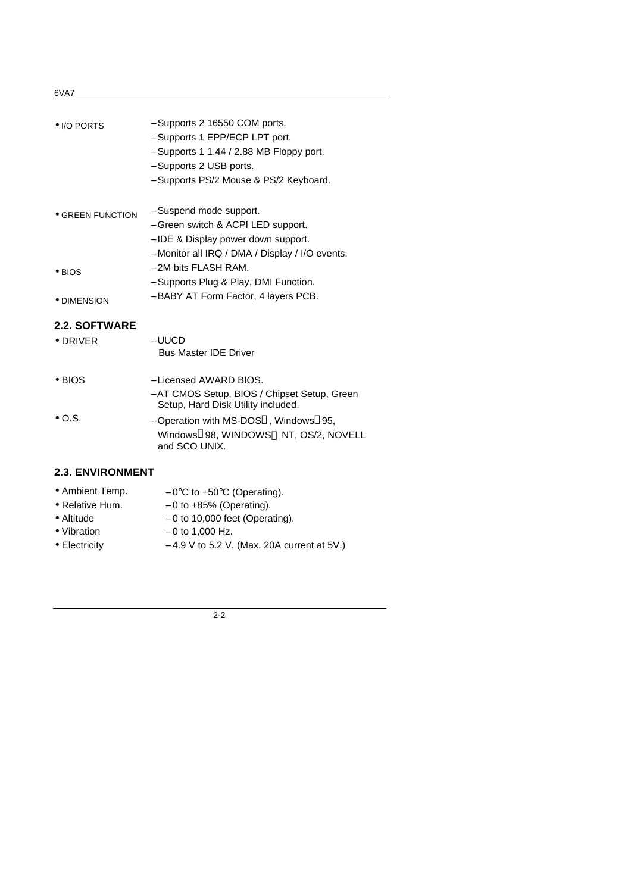### 6VA7

| • I/O PORTS                              | - Supports 2 16550 COM ports.<br>- Supports 1 EPP/ECP LPT port.<br>$-$ Supports 1 1.44 / 2.88 MB Floppy port.<br>- Supports 2 USB ports.<br>- Supports PS/2 Mouse & PS/2 Keyboard. |
|------------------------------------------|------------------------------------------------------------------------------------------------------------------------------------------------------------------------------------|
| <b>• GREEN FUNCTION</b>                  | - Suspend mode support.<br>- Green switch & ACPI LED support.<br>- IDE & Display power down support.                                                                               |
| $\bullet$ BIOS<br>• DIMENSION            | - Monitor all IRQ / DMA / Display / I/O events.<br>- 2M bits FLASH RAM.<br>- Supports Plug & Play, DMI Function.<br>- BABY AT Form Factor, 4 layers PCB.                           |
|                                          |                                                                                                                                                                                    |
| <b>2.2. SOFTWARE</b><br>$\bullet$ DRIVER | – UUCD<br><b>Bus Master IDE Driver</b>                                                                                                                                             |
| $\bullet$ BIOS                           | - Licensed AWARD BIOS.<br>- AT CMOS Setup, BIOS / Chipset Setup, Green<br>Setup, Hard Disk Utility included.                                                                       |
| $\bullet$ O.S.                           | - Operation with MS-DOS <sup>®</sup> , Windows <sup>®</sup> 95,<br>Windows®98, WINDOWS™ NT, OS/2, NOVELL                                                                           |

## **2.3. ENVIRONMENT**

| • Ambient Temp.    | $-0$ °C to +50°C (Operating).    |
|--------------------|----------------------------------|
| • Relative Hum.    | $-0$ to $+85%$ (Operating).      |
| $\bullet$ Altitude | $-0$ to 10,000 feet (Operating). |
| • Vibration        | $-0$ to 1,000 Hz.                |

and SCO UNIX.

- 
- Electricity − 4.9 V to 5.2 V. (Max. 20A current at 5V.)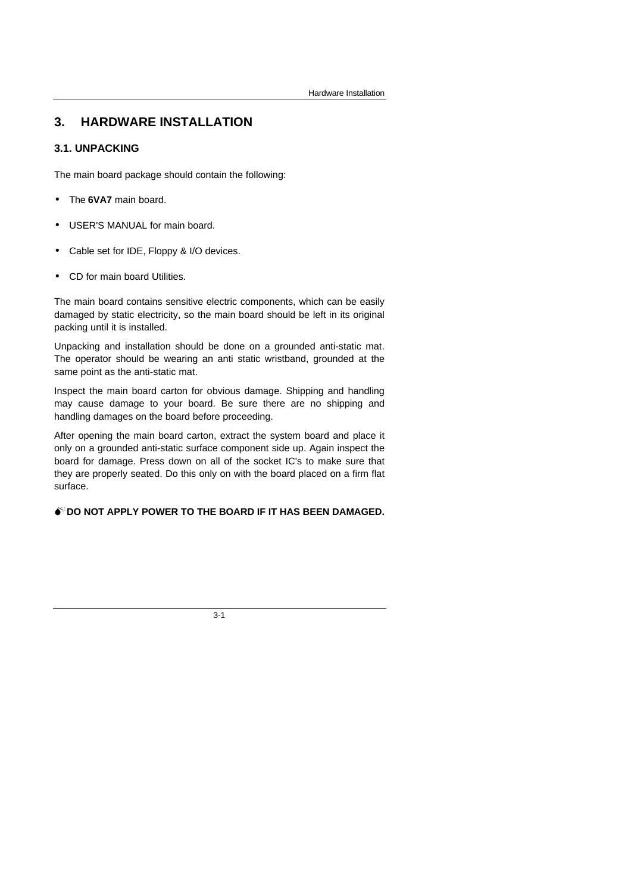# **3. HARDWARE INSTALLATION**

## **3.1. UNPACKING**

The main board package should contain the following:

- The **6VA7** main board.
- USER'S MANUAL for main board.
- Cable set for IDE, Floppy & I/O devices.
- CD for main board Utilities.

The main board contains sensitive electric components, which can be easily damaged by static electricity, so the main board should be left in its original packing until it is installed.

Unpacking and installation should be done on a grounded anti-static mat. The operator should be wearing an anti static wristband, grounded at the same point as the anti-static mat.

Inspect the main board carton for obvious damage. Shipping and handling may cause damage to your board. Be sure there are no shipping and handling damages on the board before proceeding.

After opening the main board carton, extract the system board and place it only on a grounded anti-static surface component side up. Again inspect the board for damage. Press down on all of the socket IC's to make sure that they are properly seated. Do this only on with the board placed on a firm flat surface.

## **M**<sup>**D**</sup> DO NOT APPLY POWER TO THE BOARD IF IT HAS BEEN DAMAGED.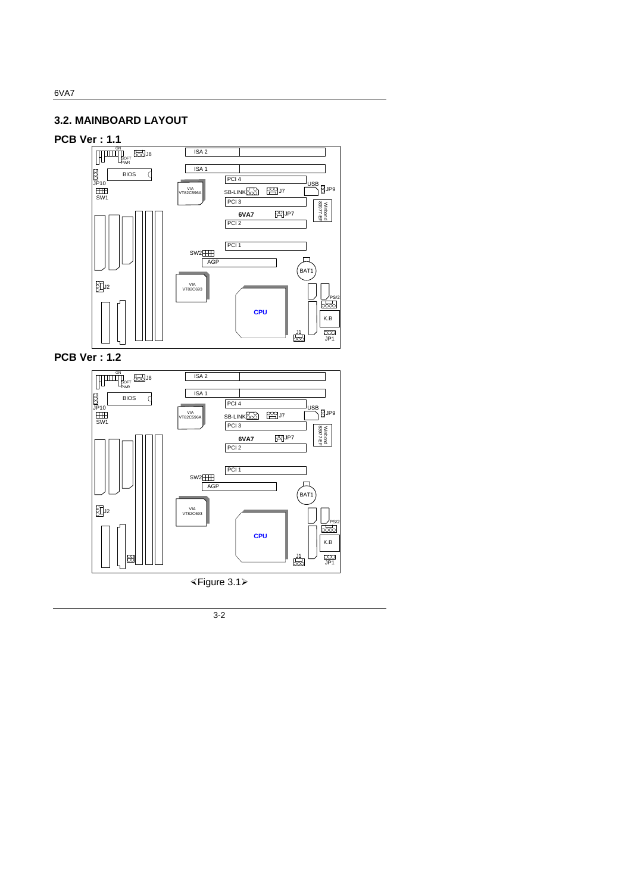## **3.2. MAINBOARD LAYOUT**

## **PCB Ver : 1.1**



**PCB Ver : 1.2**



×Figure 3.1ÿ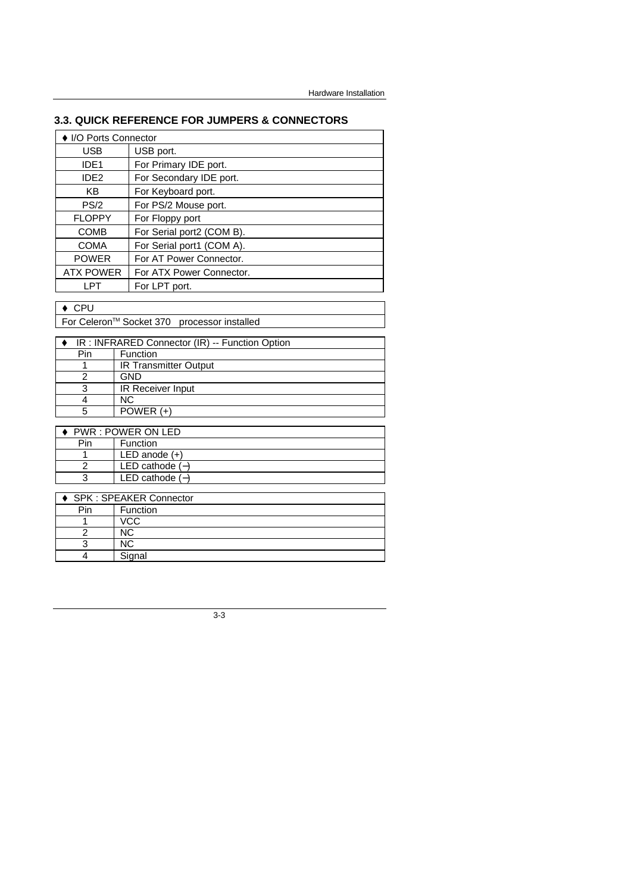## **3.3. QUICK REFERENCE FOR JUMPERS & CONNECTORS**

| ▶ I/O Ports Connector                          |                              |  |  |
|------------------------------------------------|------------------------------|--|--|
| USB                                            | USB port.                    |  |  |
| IDE <sub>1</sub>                               | For Primary IDE port.        |  |  |
| IDE <sub>2</sub>                               | For Secondary IDE port.      |  |  |
| ΚB                                             | For Keyboard port.           |  |  |
| PS/2                                           | For PS/2 Mouse port.         |  |  |
| <b>FLOPPY</b>                                  | For Floppy port              |  |  |
| <b>COMB</b>                                    | For Serial port2 (COM B).    |  |  |
| <b>COMA</b>                                    | For Serial port1 (COM A).    |  |  |
| <b>POWER</b>                                   | For AT Power Connector.      |  |  |
| <b>ATX POWER</b>                               | For ATX Power Connector.     |  |  |
| LPT                                            | For LPT port.                |  |  |
| <b>CPU</b>                                     |                              |  |  |
| For Celeron™ Socket 370 processor installed    |                              |  |  |
|                                                |                              |  |  |
| IR: INFRARED Connector (IR) -- Function Option |                              |  |  |
| Pin                                            | Function                     |  |  |
|                                                | <b>IR Transmitter Output</b> |  |  |
| 2                                              | GND                          |  |  |

| 3              | <b>IR Receiver Input</b>      |
|----------------|-------------------------------|
| 4              | <b>NC</b>                     |
| 5              | POWER (+)                     |
|                |                               |
|                | PWR : POWER ON LED            |
| Pin            | Function                      |
| 1              | LED anode $(+)$               |
| $\overline{2}$ | LED cathode $(-)$             |
| 3              | LED cathode $(-)$             |
|                |                               |
|                | <b>SPK: SPEAKER Connector</b> |
| Pin            | Function                      |
| 1              | VCC                           |
| 2              | <b>NC</b>                     |
| 3              | <b>NC</b>                     |

3-3

4 Signal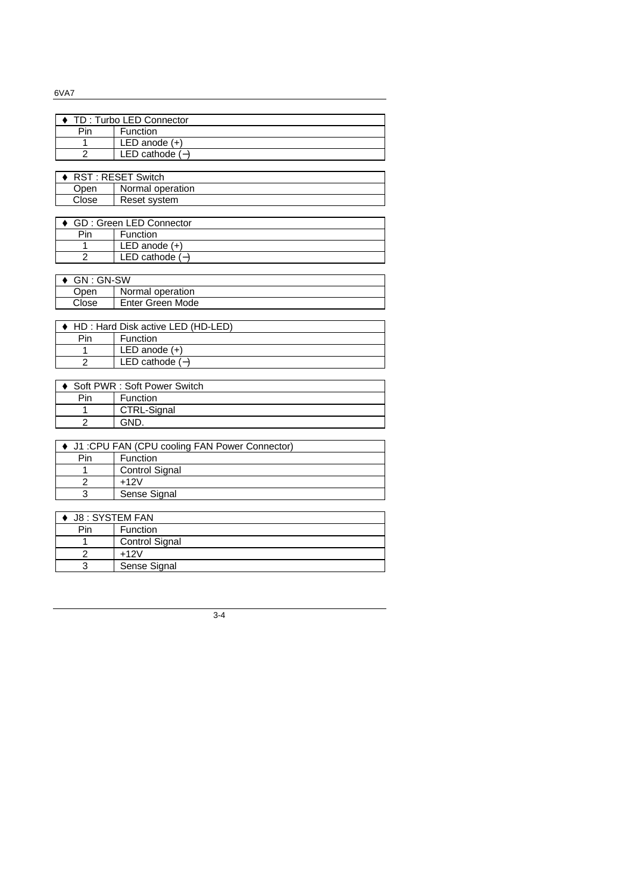| 0VAT                                           |                       |                                   |
|------------------------------------------------|-----------------------|-----------------------------------|
|                                                |                       |                                   |
|                                                |                       | TD: Turbo LED Connector           |
|                                                | Pin                   | Function                          |
|                                                | 1                     | LED anode $(+)$                   |
|                                                | $\mathfrak{p}$        | LED cathode $(-)$                 |
|                                                |                       |                                   |
|                                                |                       | RST: RESET Switch                 |
|                                                | Open                  | Normal operation                  |
|                                                | Close                 | Reset system                      |
|                                                |                       |                                   |
|                                                |                       | <b>GD: Green LED Connector</b>    |
|                                                | Pin                   | Function                          |
|                                                | $\mathbf{1}$          | $LED$ anode $(+)$                 |
|                                                | $\overline{2}$        | LED cathode $(-)$                 |
|                                                |                       |                                   |
|                                                | GN: GN-SW             |                                   |
|                                                | Open                  | Normal operation                  |
|                                                | Close                 | <b>Enter Green Mode</b>           |
|                                                |                       |                                   |
|                                                |                       | HD: Hard Disk active LED (HD-LED) |
|                                                | Pin                   | Function                          |
|                                                | $\mathbf{1}$          | LED anode $(+)$                   |
|                                                | $\overline{2}$        | LED cathode $(-)$                 |
|                                                |                       |                                   |
|                                                |                       | Soft PWR : Soft Power Switch      |
|                                                | Pin                   | Function                          |
|                                                | 1                     | CTRL-Signal                       |
|                                                | $\overline{2}$        | GND.                              |
|                                                |                       |                                   |
| J1 : CPU FAN (CPU cooling FAN Power Connector) |                       |                                   |
|                                                | Pin                   | Function                          |
|                                                | 1                     | <b>Control Signal</b>             |
|                                                | $\overline{2}$        | $+12V$                            |
|                                                | $\overline{3}$        | Sense Signal                      |
|                                                |                       |                                   |
|                                                | <b>J8: SYSTEM FAN</b> |                                   |
|                                                | Pin                   | Function                          |
|                                                | 1                     | Control Signal                    |

1 Control Signal  $\begin{array}{|c|c|}\n2 & +12V \\
\hline\n3 & \text{Sens}\n\end{array}$ Sense Signal

3-4

### 6VA7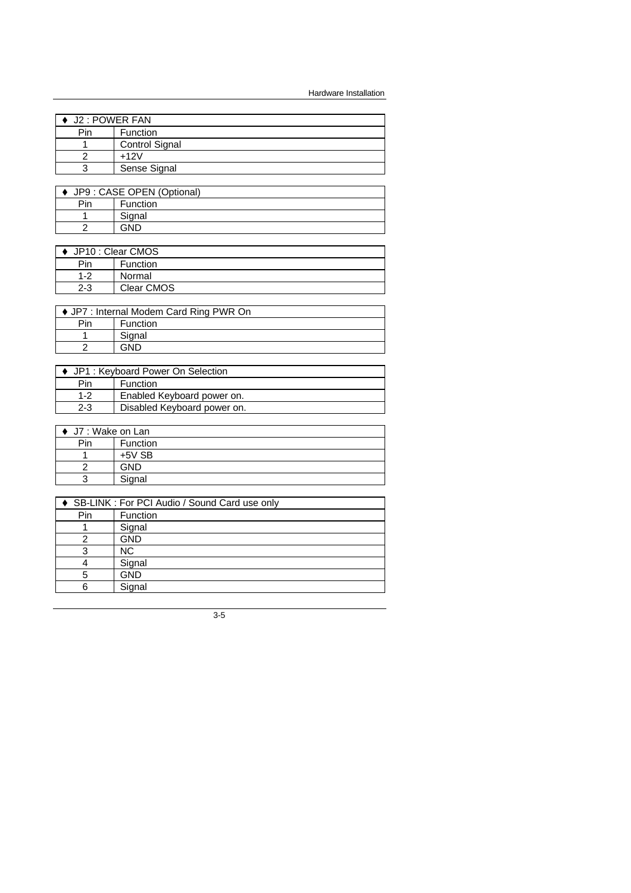Hardware Installation

| J2 : POWER FAN |                       |  |
|----------------|-----------------------|--|
| Pin            | Function              |  |
|                | <b>Control Signal</b> |  |
|                | $+12V$                |  |
|                | Sense Signal          |  |

| JP9 : CASE OPEN (Optional) |                 |  |
|----------------------------|-----------------|--|
| Pin                        | <b>Function</b> |  |
|                            | Signal          |  |
|                            | GND             |  |

| ♦ JP10 : Clear CMOS |                 |  |
|---------------------|-----------------|--|
| Pin                 | <b>Function</b> |  |
| $1 - 2$             | Normal          |  |
| $2 - 3$             | Clear CMOS      |  |
|                     |                 |  |

| ♦ JP7 : Internal Modem Card Ring PWR On |                 |  |  |
|-----------------------------------------|-----------------|--|--|
| Pin                                     | <b>Function</b> |  |  |
|                                         | Signal          |  |  |
|                                         |                 |  |  |
|                                         |                 |  |  |

| ♦ JP1 : Keyboard Power On Selection |                             |  |  |
|-------------------------------------|-----------------------------|--|--|
| Pin                                 | Function                    |  |  |
| $1 - 2$                             | Enabled Keyboard power on.  |  |  |
| $2 - 3$                             | Disabled Keyboard power on. |  |  |
|                                     |                             |  |  |

| $\bullet$ J7 : Wake on Lan |            |  |
|----------------------------|------------|--|
| Pin                        | Function   |  |
|                            | $+5V$ SB   |  |
|                            | <b>GND</b> |  |
|                            | Signal     |  |

| SB-LINK : For PCI Audio / Sound Card use only |            |  |  |
|-----------------------------------------------|------------|--|--|
| Pin                                           | Function   |  |  |
|                                               | Signal     |  |  |
|                                               | <b>GND</b> |  |  |
|                                               | <b>NC</b>  |  |  |
|                                               | Signal     |  |  |
|                                               | <b>GND</b> |  |  |
|                                               | Signal     |  |  |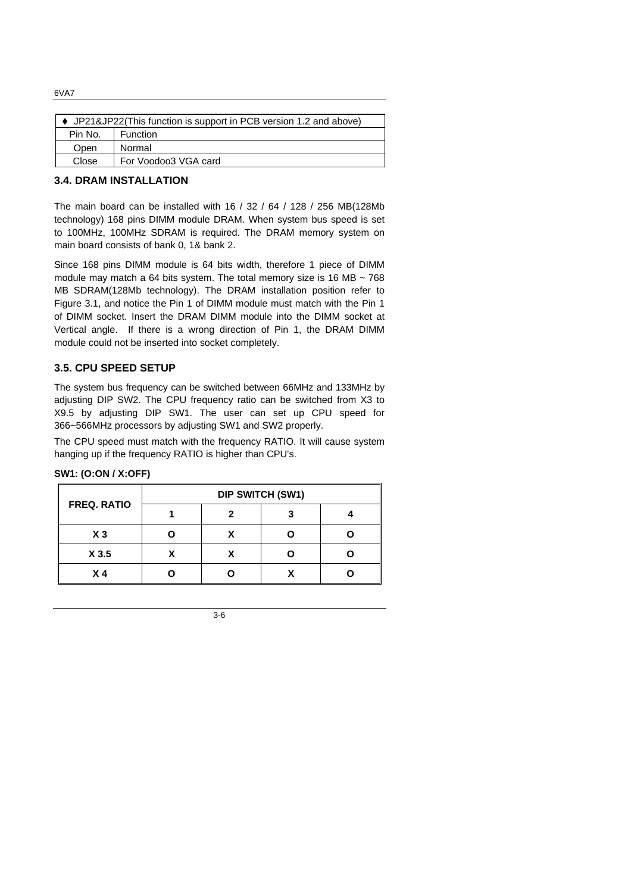♦ JP21&JP22(This function is support in PCB version 1.2 and above) Pin No. Function Open | Normal Close | For Voodoo3 VGA card

## **3.4. DRAM INSTALLATION**

The main board can be installed with 16 / 32 / 64 / 128 / 256 MB(128Mb technology) 168 pins DIMM module DRAM. When system bus speed is set to 100MHz, 100MHz SDRAM is required. The DRAM memory system on main board consists of bank 0, 1& bank 2.

Since 168 pins DIMM module is 64 bits width, therefore 1 piece of DIMM module may match a 64 bits system. The total memory size is 16 MB  $\sim$  768 MB SDRAM(128Mb technology). The DRAM installation position refer to Figure 3.1, and notice the Pin 1 of DIMM module must match with the Pin 1 of DIMM socket. Insert the DRAM DIMM module into the DIMM socket at Vertical angle. If there is a wrong direction of Pin 1, the DRAM DIMM module could not be inserted into socket completely.

### **3.5. CPU SPEED SETUP**

The system bus frequency can be switched between 66MHz and 133MHz by adjusting DIP SW2. The CPU frequency ratio can be switched from X3 to X9.5 by adjusting DIP SW1. The user can set up CPU speed for 366~566MHz processors by adjusting SW1 and SW2 properly.

The CPU speed must match with the frequency RATIO. It will cause system hanging up if the frequency RATIO is higher than CPU's.

| <b>FREQ. RATIO</b> | <b>DIP SWITCH (SW1)</b> |  |  |  |
|--------------------|-------------------------|--|--|--|
|                    |                         |  |  |  |
| $X_3$              |                         |  |  |  |
| X 3.5              |                         |  |  |  |
| X 4                |                         |  |  |  |

#### **SW1: (O:ON / X:OFF)**

#### 6VA7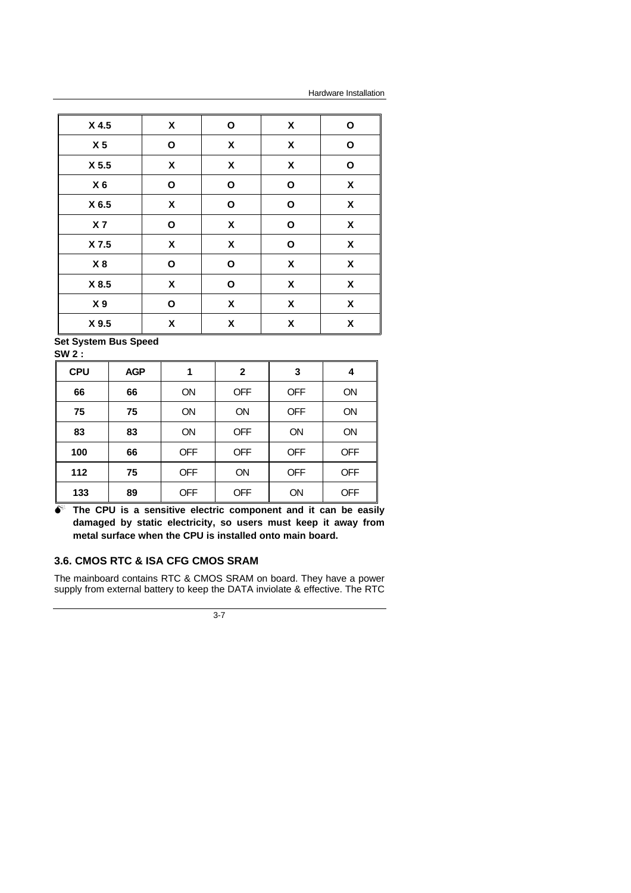Hardware Installation

| X 4.5          | X                  | O                  | X                  | O                  |
|----------------|--------------------|--------------------|--------------------|--------------------|
| X <sub>5</sub> | O                  | $\pmb{\mathsf{X}}$ | χ                  | O                  |
| X 5.5          | X                  | $\pmb{\mathsf{X}}$ | X                  | $\mathbf{o}$       |
| $X_6$          | $\mathbf{o}$       | O                  | O                  | X                  |
| X 6.5          | $\pmb{\mathsf{X}}$ | $\mathbf{o}$       | O                  | $\pmb{\chi}$       |
| X 7            | O                  | $\pmb{\mathsf{X}}$ | O                  | $\pmb{\mathsf{X}}$ |
| X 7.5          | χ                  | χ                  | O                  | $\pmb{\mathsf{X}}$ |
| X8             | $\mathbf{o}$       | O                  | χ                  | $\pmb{\mathsf{X}}$ |
| X 8.5          | $\pmb{\mathsf{X}}$ | O                  | $\pmb{\mathsf{X}}$ | $\pmb{\mathsf{X}}$ |
| X <sub>9</sub> | $\mathbf O$        | $\pmb{\mathsf{X}}$ | X                  | $\pmb{\mathsf{X}}$ |
| X 9.5          | $\pmb{\mathsf{X}}$ | X                  | $\pmb{\mathsf{X}}$ | $\pmb{\mathsf{X}}$ |

**Set System Bus Speed SW 2 :**

| OVV 4.     |            |            |              |            |            |
|------------|------------|------------|--------------|------------|------------|
| <b>CPU</b> | <b>AGP</b> | 1          | $\mathbf{2}$ | 3          | 4          |
| 66         | 66         | <b>ON</b>  | <b>OFF</b>   | <b>OFF</b> | ON         |
| 75         | 75         | <b>ON</b>  | ON           | <b>OFF</b> | ON         |
| 83         | 83         | <b>ON</b>  | <b>OFF</b>   | <b>ON</b>  | ON         |
| 100        | 66         | <b>OFF</b> | <b>OFF</b>   | <b>OFF</b> | <b>OFF</b> |
| 112        | 75         | <b>OFF</b> | ON           | <b>OFF</b> | <b>OFF</b> |
| 133        | 89         | <b>OFF</b> | <b>OFF</b>   | ON         | <b>OFF</b> |

 $\bullet$  The CPU is a sensitive electric component and it can be easily **damaged by static electricity, so users must keep it away from metal surface when the CPU is installed onto main board.**

## **3.6. CMOS RTC & ISA CFG CMOS SRAM**

The mainboard contains RTC & CMOS SRAM on board. They have a power supply from external battery to keep the DATA inviolate & effective. The RTC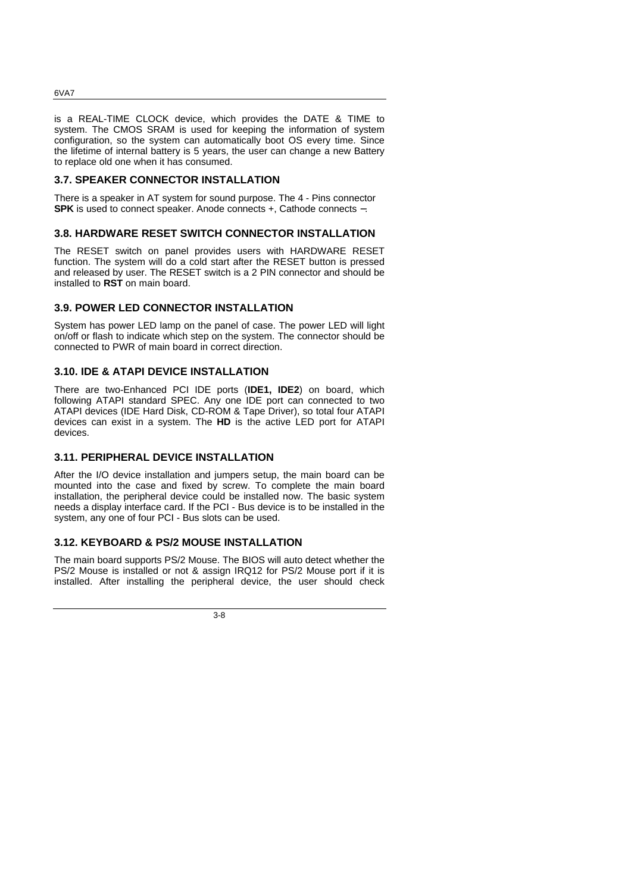is a REAL-TIME CLOCK device, which provides the DATE & TIME to system. The CMOS SRAM is used for keeping the information of system configuration, so the system can automatically boot OS every time. Since the lifetime of internal battery is 5 years, the user can change a new Battery to replace old one when it has consumed.

#### **3.7. SPEAKER CONNECTOR INSTALLATION**

There is a speaker in AT system for sound purpose. The 4 - Pins connector **SPK** is used to connect speaker. Anode connects +, Cathode connects −.

### **3.8. HARDWARE RESET SWITCH CONNECTOR INSTALLATION**

The RESET switch on panel provides users with HARDWARE RESET function. The system will do a cold start after the RESET button is pressed and released by user. The RESET switch is a 2 PIN connector and should be installed to **RST** on main board.

#### **3.9. POWER LED CONNECTOR INSTALLATION**

System has power LED lamp on the panel of case. The power LED will light on/off or flash to indicate which step on the system. The connector should be connected to PWR of main board in correct direction.

### **3.10. IDE & ATAPI DEVICE INSTALLATION**

There are two-Enhanced PCI IDE ports (**IDE1, IDE2**) on board, which following ATAPI standard SPEC. Any one IDE port can connected to two ATAPI devices (IDE Hard Disk, CD-ROM & Tape Driver), so total four ATAPI devices can exist in a system. The **HD** is the active LED port for ATAPI devices.

#### **3.11. PERIPHERAL DEVICE INSTALLATION**

After the I/O device installation and jumpers setup, the main board can be mounted into the case and fixed by screw. To complete the main board installation, the peripheral device could be installed now. The basic system needs a display interface card. If the PCI - Bus device is to be installed in the system, any one of four PCI - Bus slots can be used.

## **3.12. KEYBOARD & PS/2 MOUSE INSTALLATION**

The main board supports PS/2 Mouse. The BIOS will auto detect whether the PS/2 Mouse is installed or not & assign IRQ12 for PS/2 Mouse port if it is installed. After installing the peripheral device, the user should check